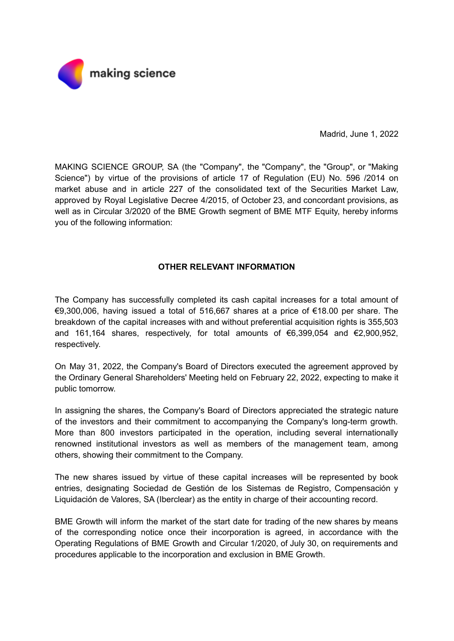

Madrid, June 1, 2022

MAKING SCIENCE GROUP, SA (the "Company", the "Company", the "Group", or "Making Science") by virtue of the provisions of article 17 of Regulation (EU) No. 596 /2014 on market abuse and in article 227 of the consolidated text of the Securities Market Law, approved by Royal Legislative Decree 4/2015, of October 23, and concordant provisions, as well as in Circular 3/2020 of the BME Growth segment of BME MTF Equity, hereby informs you of the following information:

## **OTHER RELEVANT INFORMATION**

The Company has successfully completed its cash capital increases for a total amount of €9,300,006, having issued a total of 516,667 shares at a price of €18.00 per share. The breakdown of the capital increases with and without preferential acquisition rights is 355,503 and 161,164 shares, respectively, for total amounts of €6,399,054 and €2,900,952, respectively.

On May 31, 2022, the Company's Board of Directors executed the agreement approved by the Ordinary General Shareholders' Meeting held on February 22, 2022, expecting to make it public tomorrow.

In assigning the shares, the Company's Board of Directors appreciated the strategic nature of the investors and their commitment to accompanying the Company's long-term growth. More than 800 investors participated in the operation, including several internationally renowned institutional investors as well as members of the management team, among others, showing their commitment to the Company.

The new shares issued by virtue of these capital increases will be represented by book entries, designating Sociedad de Gestión de los Sistemas de Registro, Compensación y Liquidación de Valores, SA (Iberclear) as the entity in charge of their accounting record.

BME Growth will inform the market of the start date for trading of the new shares by means of the corresponding notice once their incorporation is agreed, in accordance with the Operating Regulations of BME Growth and Circular 1/2020, of July 30, on requirements and procedures applicable to the incorporation and exclusion in BME Growth.